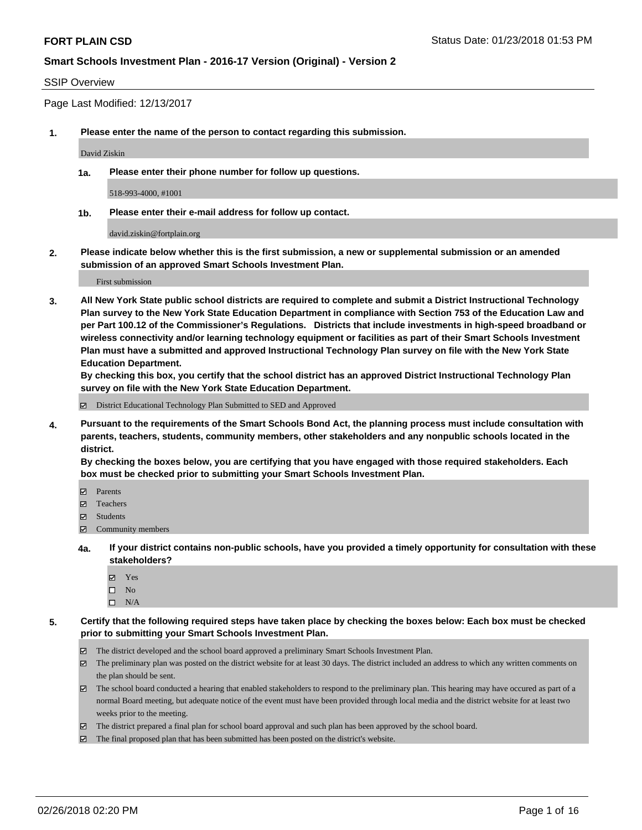## SSIP Overview

Page Last Modified: 12/13/2017

**1. Please enter the name of the person to contact regarding this submission.**

David Ziskin

**1a. Please enter their phone number for follow up questions.**

518-993-4000, #1001

**1b. Please enter their e-mail address for follow up contact.**

david.ziskin@fortplain.org

**2. Please indicate below whether this is the first submission, a new or supplemental submission or an amended submission of an approved Smart Schools Investment Plan.**

First submission

**3. All New York State public school districts are required to complete and submit a District Instructional Technology Plan survey to the New York State Education Department in compliance with Section 753 of the Education Law and per Part 100.12 of the Commissioner's Regulations. Districts that include investments in high-speed broadband or wireless connectivity and/or learning technology equipment or facilities as part of their Smart Schools Investment Plan must have a submitted and approved Instructional Technology Plan survey on file with the New York State Education Department.** 

**By checking this box, you certify that the school district has an approved District Instructional Technology Plan survey on file with the New York State Education Department.**

District Educational Technology Plan Submitted to SED and Approved

**4. Pursuant to the requirements of the Smart Schools Bond Act, the planning process must include consultation with parents, teachers, students, community members, other stakeholders and any nonpublic schools located in the district.** 

**By checking the boxes below, you are certifying that you have engaged with those required stakeholders. Each box must be checked prior to submitting your Smart Schools Investment Plan.**

- Parents
- Teachers
- Students
- $\Xi$  Community members
- **4a. If your district contains non-public schools, have you provided a timely opportunity for consultation with these stakeholders?**
	- Yes
	- $\square$  No
	- $\square$  N/A
- **5. Certify that the following required steps have taken place by checking the boxes below: Each box must be checked prior to submitting your Smart Schools Investment Plan.**
	- The district developed and the school board approved a preliminary Smart Schools Investment Plan.
	- $\boxtimes$  The preliminary plan was posted on the district website for at least 30 days. The district included an address to which any written comments on the plan should be sent.
	- $\boxtimes$  The school board conducted a hearing that enabled stakeholders to respond to the preliminary plan. This hearing may have occured as part of a normal Board meeting, but adequate notice of the event must have been provided through local media and the district website for at least two weeks prior to the meeting.
	- The district prepared a final plan for school board approval and such plan has been approved by the school board.
	- $\boxtimes$  The final proposed plan that has been submitted has been posted on the district's website.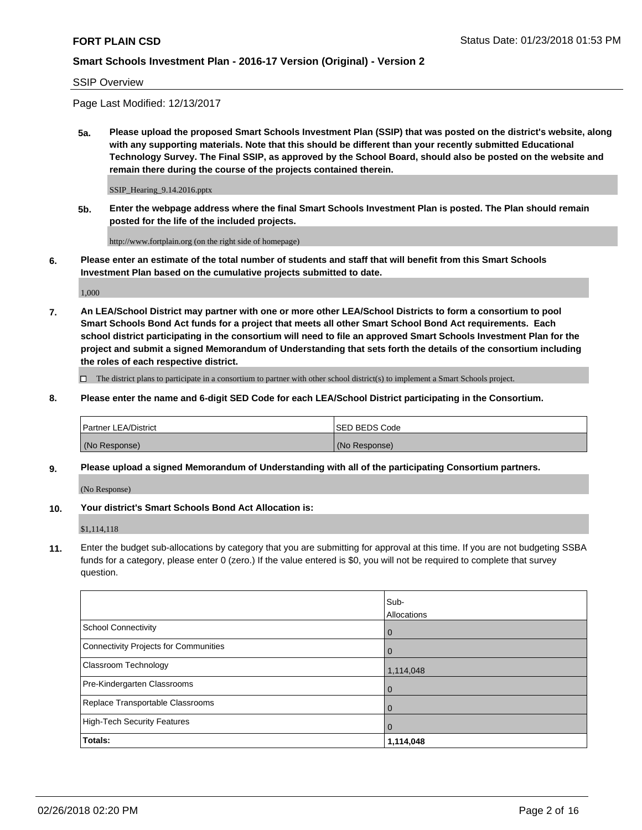SSIP Overview

Page Last Modified: 12/13/2017

**5a. Please upload the proposed Smart Schools Investment Plan (SSIP) that was posted on the district's website, along with any supporting materials. Note that this should be different than your recently submitted Educational Technology Survey. The Final SSIP, as approved by the School Board, should also be posted on the website and remain there during the course of the projects contained therein.**

SSIP\_Hearing\_9.14.2016.pptx

**5b. Enter the webpage address where the final Smart Schools Investment Plan is posted. The Plan should remain posted for the life of the included projects.**

http://www.fortplain.org (on the right side of homepage)

**6. Please enter an estimate of the total number of students and staff that will benefit from this Smart Schools Investment Plan based on the cumulative projects submitted to date.**

1,000

**7. An LEA/School District may partner with one or more other LEA/School Districts to form a consortium to pool Smart Schools Bond Act funds for a project that meets all other Smart School Bond Act requirements. Each school district participating in the consortium will need to file an approved Smart Schools Investment Plan for the project and submit a signed Memorandum of Understanding that sets forth the details of the consortium including the roles of each respective district.**

 $\Box$  The district plans to participate in a consortium to partner with other school district(s) to implement a Smart Schools project.

**8. Please enter the name and 6-digit SED Code for each LEA/School District participating in the Consortium.**

| <b>Partner LEA/District</b> | <b>ISED BEDS Code</b> |
|-----------------------------|-----------------------|
| (No Response)               | (No Response)         |

#### **9. Please upload a signed Memorandum of Understanding with all of the participating Consortium partners.**

(No Response)

**10. Your district's Smart Schools Bond Act Allocation is:**

\$1,114,118

**11.** Enter the budget sub-allocations by category that you are submitting for approval at this time. If you are not budgeting SSBA funds for a category, please enter 0 (zero.) If the value entered is \$0, you will not be required to complete that survey question.

|                                       | Sub-<br><b>Allocations</b> |
|---------------------------------------|----------------------------|
| School Connectivity                   | l 0                        |
| Connectivity Projects for Communities | l 0                        |
| Classroom Technology                  | 1,114,048                  |
| Pre-Kindergarten Classrooms           | l 0                        |
| Replace Transportable Classrooms      | 0                          |
| High-Tech Security Features           | $\overline{0}$             |
| Totals:                               | 1,114,048                  |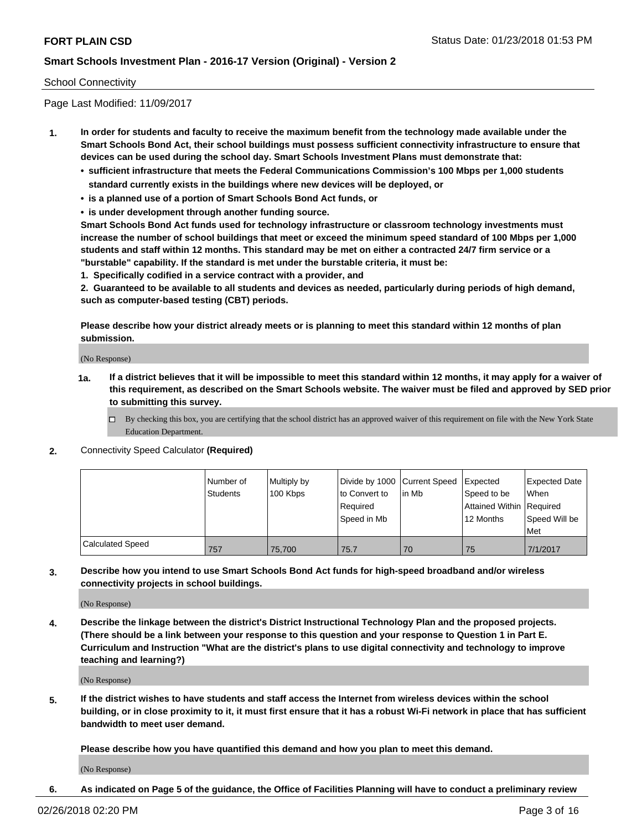## School Connectivity

Page Last Modified: 11/09/2017

- **1. In order for students and faculty to receive the maximum benefit from the technology made available under the Smart Schools Bond Act, their school buildings must possess sufficient connectivity infrastructure to ensure that devices can be used during the school day. Smart Schools Investment Plans must demonstrate that:**
	- **• sufficient infrastructure that meets the Federal Communications Commission's 100 Mbps per 1,000 students standard currently exists in the buildings where new devices will be deployed, or**
	- **• is a planned use of a portion of Smart Schools Bond Act funds, or**
	- **• is under development through another funding source.**

**Smart Schools Bond Act funds used for technology infrastructure or classroom technology investments must increase the number of school buildings that meet or exceed the minimum speed standard of 100 Mbps per 1,000 students and staff within 12 months. This standard may be met on either a contracted 24/7 firm service or a "burstable" capability. If the standard is met under the burstable criteria, it must be:**

**1. Specifically codified in a service contract with a provider, and**

**2. Guaranteed to be available to all students and devices as needed, particularly during periods of high demand, such as computer-based testing (CBT) periods.**

**Please describe how your district already meets or is planning to meet this standard within 12 months of plan submission.**

(No Response)

- **1a. If a district believes that it will be impossible to meet this standard within 12 months, it may apply for a waiver of this requirement, as described on the Smart Schools website. The waiver must be filed and approved by SED prior to submitting this survey.**
	- By checking this box, you are certifying that the school district has an approved waiver of this requirement on file with the New York State Education Department.
- **2.** Connectivity Speed Calculator **(Required)**

|                         | Number of<br>Students | Multiply by<br>100 Kbps | Divide by 1000 Current Speed<br>to Convert to<br>Required<br>Speed in Mb | lin Mb | <b>I</b> Expected<br>Speed to be<br>Attained Within Required<br>12 Months | <b>Expected Date</b><br>When<br>Speed Will be<br><b>Met</b> |
|-------------------------|-----------------------|-------------------------|--------------------------------------------------------------------------|--------|---------------------------------------------------------------------------|-------------------------------------------------------------|
| <b>Calculated Speed</b> | 757                   | 75,700                  | 75.7                                                                     | 70     | 75                                                                        | 7/1/2017                                                    |

## **3. Describe how you intend to use Smart Schools Bond Act funds for high-speed broadband and/or wireless connectivity projects in school buildings.**

(No Response)

**4. Describe the linkage between the district's District Instructional Technology Plan and the proposed projects. (There should be a link between your response to this question and your response to Question 1 in Part E. Curriculum and Instruction "What are the district's plans to use digital connectivity and technology to improve teaching and learning?)**

(No Response)

**5. If the district wishes to have students and staff access the Internet from wireless devices within the school building, or in close proximity to it, it must first ensure that it has a robust Wi-Fi network in place that has sufficient bandwidth to meet user demand.**

**Please describe how you have quantified this demand and how you plan to meet this demand.**

(No Response)

**6. As indicated on Page 5 of the guidance, the Office of Facilities Planning will have to conduct a preliminary review**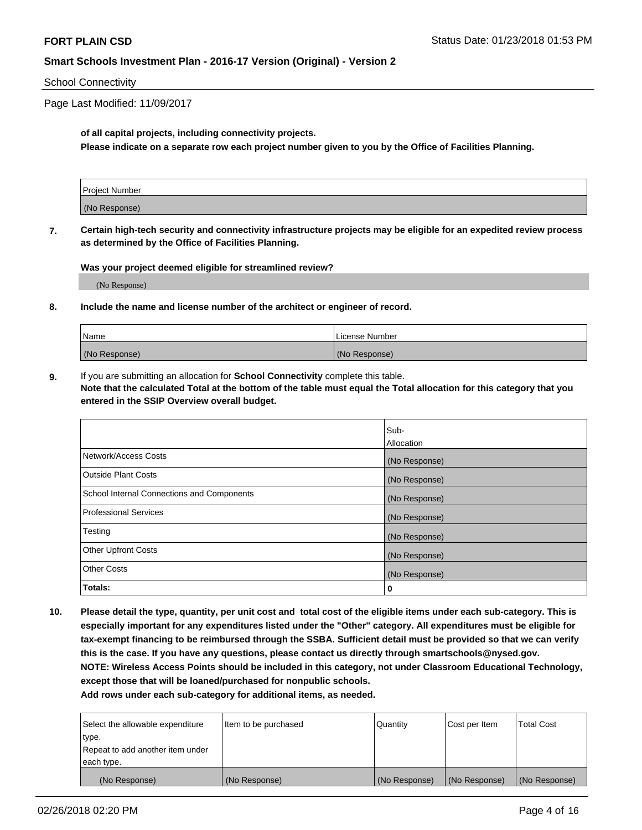#### School Connectivity

Page Last Modified: 11/09/2017

## **of all capital projects, including connectivity projects.**

**Please indicate on a separate row each project number given to you by the Office of Facilities Planning.**

| Project Number |  |
|----------------|--|
|                |  |
| (No Response)  |  |
|                |  |

**7. Certain high-tech security and connectivity infrastructure projects may be eligible for an expedited review process as determined by the Office of Facilities Planning.**

**Was your project deemed eligible for streamlined review?**

(No Response)

#### **8. Include the name and license number of the architect or engineer of record.**

| Name          | License Number |
|---------------|----------------|
| (No Response) | (No Response)  |

**9.** If you are submitting an allocation for **School Connectivity** complete this table. **Note that the calculated Total at the bottom of the table must equal the Total allocation for this category that you entered in the SSIP Overview overall budget.** 

|                                            | Sub-          |
|--------------------------------------------|---------------|
|                                            | Allocation    |
| Network/Access Costs                       | (No Response) |
| <b>Outside Plant Costs</b>                 | (No Response) |
| School Internal Connections and Components | (No Response) |
| <b>Professional Services</b>               | (No Response) |
| Testing                                    | (No Response) |
| <b>Other Upfront Costs</b>                 | (No Response) |
| <b>Other Costs</b>                         | (No Response) |
| Totals:                                    | 0             |

**10. Please detail the type, quantity, per unit cost and total cost of the eligible items under each sub-category. This is especially important for any expenditures listed under the "Other" category. All expenditures must be eligible for tax-exempt financing to be reimbursed through the SSBA. Sufficient detail must be provided so that we can verify this is the case. If you have any questions, please contact us directly through smartschools@nysed.gov. NOTE: Wireless Access Points should be included in this category, not under Classroom Educational Technology, except those that will be loaned/purchased for nonpublic schools.**

| Select the allowable expenditure | Item to be purchased | Quantity      | Cost per Item | <b>Total Cost</b> |
|----------------------------------|----------------------|---------------|---------------|-------------------|
| type.                            |                      |               |               |                   |
| Repeat to add another item under |                      |               |               |                   |
| each type.                       |                      |               |               |                   |
| (No Response)                    | (No Response)        | (No Response) | (No Response) | (No Response)     |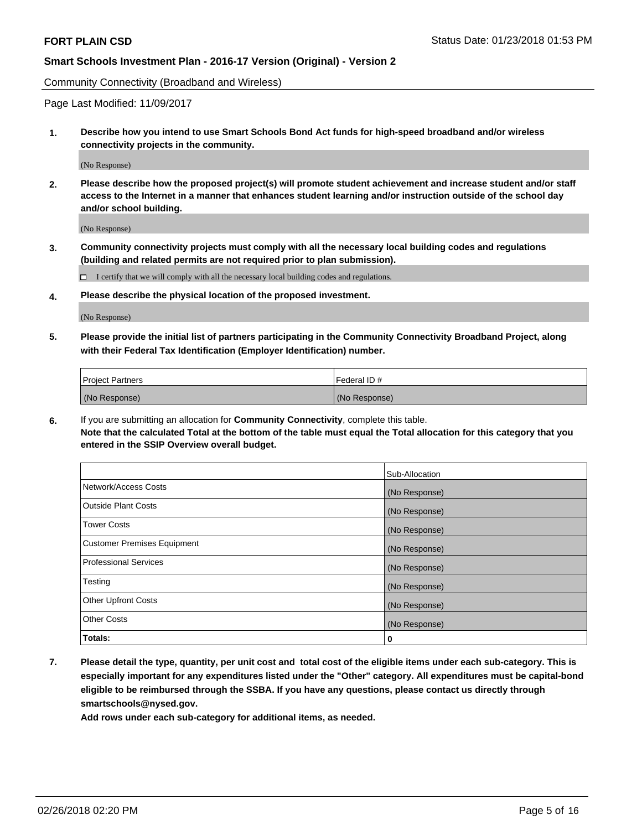Community Connectivity (Broadband and Wireless)

Page Last Modified: 11/09/2017

**1. Describe how you intend to use Smart Schools Bond Act funds for high-speed broadband and/or wireless connectivity projects in the community.**

(No Response)

**2. Please describe how the proposed project(s) will promote student achievement and increase student and/or staff access to the Internet in a manner that enhances student learning and/or instruction outside of the school day and/or school building.**

(No Response)

**3. Community connectivity projects must comply with all the necessary local building codes and regulations (building and related permits are not required prior to plan submission).**

 $\Box$  I certify that we will comply with all the necessary local building codes and regulations.

**4. Please describe the physical location of the proposed investment.**

(No Response)

**5. Please provide the initial list of partners participating in the Community Connectivity Broadband Project, along with their Federal Tax Identification (Employer Identification) number.**

| <b>Project Partners</b> | l Federal ID # |
|-------------------------|----------------|
| (No Response)           | (No Response)  |

**6.** If you are submitting an allocation for **Community Connectivity**, complete this table. **Note that the calculated Total at the bottom of the table must equal the Total allocation for this category that you entered in the SSIP Overview overall budget.**

|                                    | Sub-Allocation |
|------------------------------------|----------------|
| Network/Access Costs               | (No Response)  |
| Outside Plant Costs                | (No Response)  |
| <b>Tower Costs</b>                 | (No Response)  |
| <b>Customer Premises Equipment</b> | (No Response)  |
| Professional Services              | (No Response)  |
| Testing                            | (No Response)  |
| <b>Other Upfront Costs</b>         | (No Response)  |
| <b>Other Costs</b>                 | (No Response)  |
| Totals:                            | 0              |

**7. Please detail the type, quantity, per unit cost and total cost of the eligible items under each sub-category. This is especially important for any expenditures listed under the "Other" category. All expenditures must be capital-bond eligible to be reimbursed through the SSBA. If you have any questions, please contact us directly through smartschools@nysed.gov.**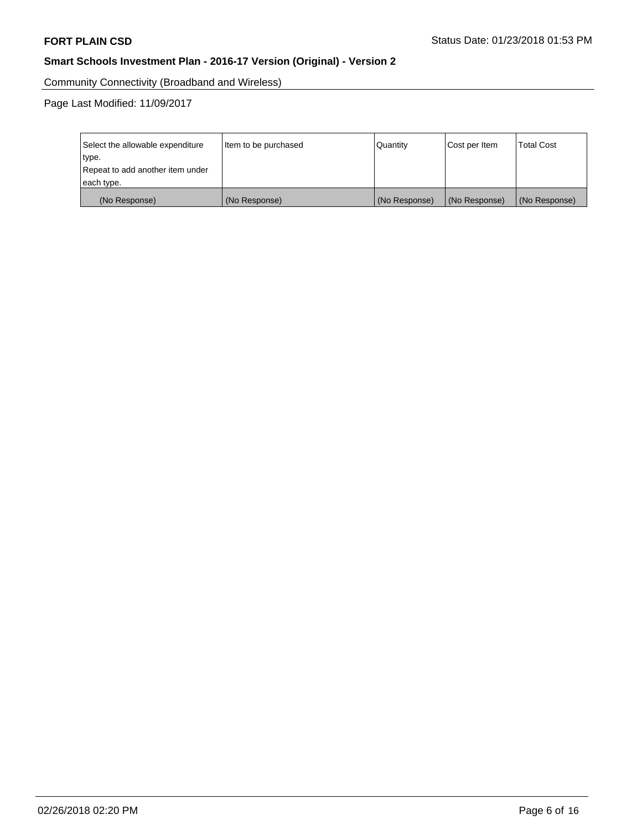Community Connectivity (Broadband and Wireless)

Page Last Modified: 11/09/2017

| Select the allowable expenditure<br>type.<br>Repeat to add another item under | Item to be purchased | Quantity      | Cost per Item | <b>Total Cost</b> |
|-------------------------------------------------------------------------------|----------------------|---------------|---------------|-------------------|
| each type.                                                                    |                      |               |               |                   |
| (No Response)                                                                 | (No Response)        | (No Response) | (No Response) | (No Response)     |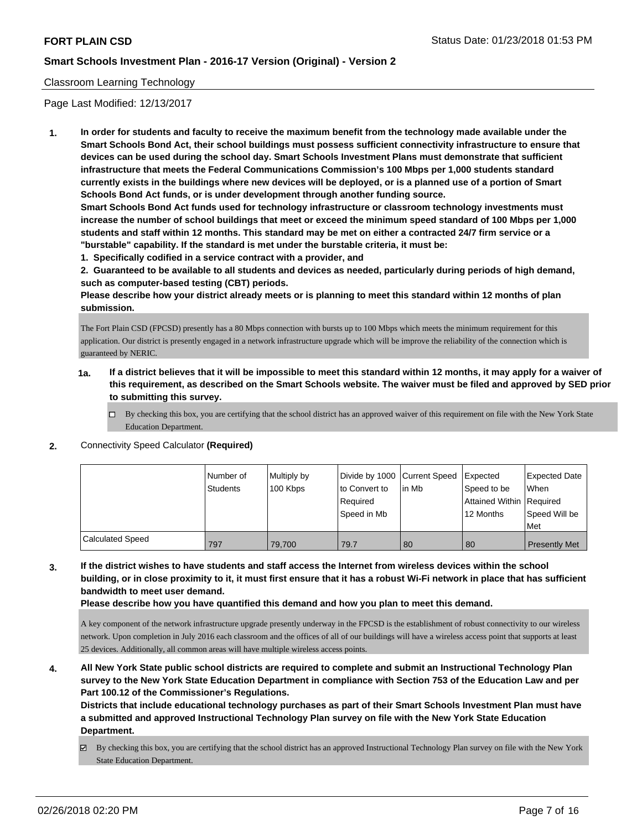## Classroom Learning Technology

Page Last Modified: 12/13/2017

**1. In order for students and faculty to receive the maximum benefit from the technology made available under the Smart Schools Bond Act, their school buildings must possess sufficient connectivity infrastructure to ensure that devices can be used during the school day. Smart Schools Investment Plans must demonstrate that sufficient infrastructure that meets the Federal Communications Commission's 100 Mbps per 1,000 students standard currently exists in the buildings where new devices will be deployed, or is a planned use of a portion of Smart Schools Bond Act funds, or is under development through another funding source.**

**Smart Schools Bond Act funds used for technology infrastructure or classroom technology investments must increase the number of school buildings that meet or exceed the minimum speed standard of 100 Mbps per 1,000 students and staff within 12 months. This standard may be met on either a contracted 24/7 firm service or a "burstable" capability. If the standard is met under the burstable criteria, it must be:**

**1. Specifically codified in a service contract with a provider, and**

**2. Guaranteed to be available to all students and devices as needed, particularly during periods of high demand, such as computer-based testing (CBT) periods.**

**Please describe how your district already meets or is planning to meet this standard within 12 months of plan submission.**

The Fort Plain CSD (FPCSD) presently has a 80 Mbps connection with bursts up to 100 Mbps which meets the minimum requirement for this application. Our district is presently engaged in a network infrastructure upgrade which will be improve the reliability of the connection which is guaranteed by NERIC.

- **1a. If a district believes that it will be impossible to meet this standard within 12 months, it may apply for a waiver of this requirement, as described on the Smart Schools website. The waiver must be filed and approved by SED prior to submitting this survey.**
	- By checking this box, you are certifying that the school district has an approved waiver of this requirement on file with the New York State Education Department.
- **2.** Connectivity Speed Calculator **(Required)**

|                         | Number of<br>Students | Multiply by<br>100 Kbps | Divide by 1000 Current Speed<br>to Convert to<br>Required<br>Speed in Mb | l in Mb | Expected<br>Speed to be<br>Attained Within   Required<br>12 Months | Expected Date<br>When<br>Speed Will be<br>Met |
|-------------------------|-----------------------|-------------------------|--------------------------------------------------------------------------|---------|--------------------------------------------------------------------|-----------------------------------------------|
| <b>Calculated Speed</b> | 797                   | 79.700                  | 79.7                                                                     | 80      | 80                                                                 | <b>Presently Met</b>                          |

**3. If the district wishes to have students and staff access the Internet from wireless devices within the school building, or in close proximity to it, it must first ensure that it has a robust Wi-Fi network in place that has sufficient bandwidth to meet user demand.**

**Please describe how you have quantified this demand and how you plan to meet this demand.**

A key component of the network infrastructure upgrade presently underway in the FPCSD is the establishment of robust connectivity to our wireless network. Upon completion in July 2016 each classroom and the offices of all of our buildings will have a wireless access point that supports at least 25 devices. Additionally, all common areas will have multiple wireless access points.

**4. All New York State public school districts are required to complete and submit an Instructional Technology Plan survey to the New York State Education Department in compliance with Section 753 of the Education Law and per Part 100.12 of the Commissioner's Regulations.**

**Districts that include educational technology purchases as part of their Smart Schools Investment Plan must have a submitted and approved Instructional Technology Plan survey on file with the New York State Education Department.**

By checking this box, you are certifying that the school district has an approved Instructional Technology Plan survey on file with the New York State Education Department.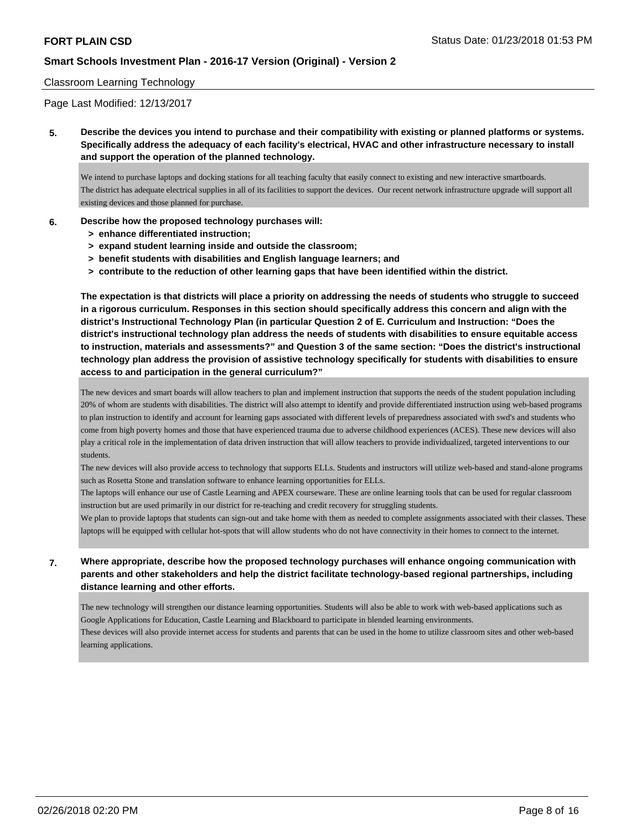#### Classroom Learning Technology

Page Last Modified: 12/13/2017

**5. Describe the devices you intend to purchase and their compatibility with existing or planned platforms or systems. Specifically address the adequacy of each facility's electrical, HVAC and other infrastructure necessary to install and support the operation of the planned technology.**

We intend to purchase laptops and docking stations for all teaching faculty that easily connect to existing and new interactive smartboards. The district has adequate electrical supplies in all of its facilities to support the devices. Our recent network infrastructure upgrade will support all existing devices and those planned for purchase.

#### **6. Describe how the proposed technology purchases will:**

- **> enhance differentiated instruction;**
- **> expand student learning inside and outside the classroom;**
- **> benefit students with disabilities and English language learners; and**
- **> contribute to the reduction of other learning gaps that have been identified within the district.**

**The expectation is that districts will place a priority on addressing the needs of students who struggle to succeed in a rigorous curriculum. Responses in this section should specifically address this concern and align with the district's Instructional Technology Plan (in particular Question 2 of E. Curriculum and Instruction: "Does the district's instructional technology plan address the needs of students with disabilities to ensure equitable access to instruction, materials and assessments?" and Question 3 of the same section: "Does the district's instructional technology plan address the provision of assistive technology specifically for students with disabilities to ensure access to and participation in the general curriculum?"**

The new devices and smart boards will allow teachers to plan and implement instruction that supports the needs of the student population including 20% of whom are students with disabilities. The district will also attempt to identify and provide differentiated instruction using web-based programs to plan instruction to identify and account for learning gaps associated with different levels of preparedness associated with swd's and students who come from high poverty homes and those that have experienced trauma due to adverse childhood experiences (ACES). These new devices will also play a critical role in the implementation of data driven instruction that will allow teachers to provide individualized, targeted interventions to our students.

The new devices will also provide access to technology that supports ELLs. Students and instructors will utilize web-based and stand-alone programs such as Rosetta Stone and translation software to enhance learning opportunities for ELLs.

The laptops will enhance our use of Castle Learning and APEX courseware. These are online learning tools that can be used for regular classroom instruction but are used primarily in our district for re-teaching and credit recovery for struggling students.

We plan to provide laptops that students can sign-out and take home with them as needed to complete assignments associated with their classes. These laptops will be equipped with cellular hot-spots that will allow students who do not have connectivity in their homes to connect to the internet.

**7. Where appropriate, describe how the proposed technology purchases will enhance ongoing communication with parents and other stakeholders and help the district facilitate technology-based regional partnerships, including distance learning and other efforts.**

The new technology will strengthen our distance learning opportunities. Students will also be able to work with web-based applications such as Google Applications for Education, Castle Learning and Blackboard to participate in blended learning environments. These devices will also provide internet access for students and parents that can be used in the home to utilize classroom sites and other web-based

learning applications.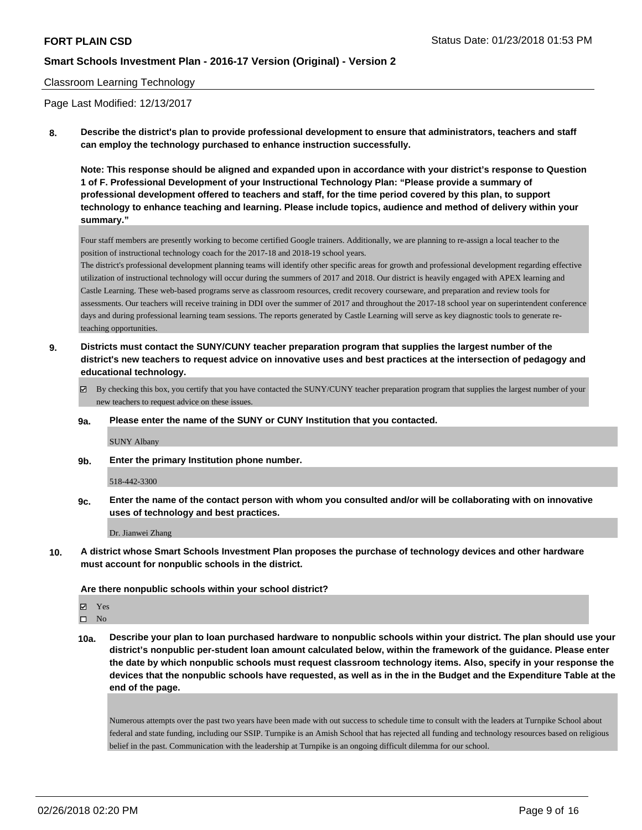### Classroom Learning Technology

Page Last Modified: 12/13/2017

**8. Describe the district's plan to provide professional development to ensure that administrators, teachers and staff can employ the technology purchased to enhance instruction successfully.**

**Note: This response should be aligned and expanded upon in accordance with your district's response to Question 1 of F. Professional Development of your Instructional Technology Plan: "Please provide a summary of professional development offered to teachers and staff, for the time period covered by this plan, to support technology to enhance teaching and learning. Please include topics, audience and method of delivery within your summary."**

Four staff members are presently working to become certified Google trainers. Additionally, we are planning to re-assign a local teacher to the position of instructional technology coach for the 2017-18 and 2018-19 school years.

The district's professional development planning teams will identify other specific areas for growth and professional development regarding effective utilization of instructional technology will occur during the summers of 2017 and 2018. Our district is heavily engaged with APEX learning and Castle Learning. These web-based programs serve as classroom resources, credit recovery courseware, and preparation and review tools for assessments. Our teachers will receive training in DDI over the summer of 2017 and throughout the 2017-18 school year on superintendent conference days and during professional learning team sessions. The reports generated by Castle Learning will serve as key diagnostic tools to generate reteaching opportunities.

- **9. Districts must contact the SUNY/CUNY teacher preparation program that supplies the largest number of the district's new teachers to request advice on innovative uses and best practices at the intersection of pedagogy and educational technology.**
	- By checking this box, you certify that you have contacted the SUNY/CUNY teacher preparation program that supplies the largest number of your new teachers to request advice on these issues.
	- **9a. Please enter the name of the SUNY or CUNY Institution that you contacted.**

SUNY Albany

**9b. Enter the primary Institution phone number.**

518-442-3300

**9c. Enter the name of the contact person with whom you consulted and/or will be collaborating with on innovative uses of technology and best practices.**

Dr. Jianwei Zhang

**10. A district whose Smart Schools Investment Plan proposes the purchase of technology devices and other hardware must account for nonpublic schools in the district.**

**Are there nonpublic schools within your school district?**

Yes

 $\square$  No

**10a. Describe your plan to loan purchased hardware to nonpublic schools within your district. The plan should use your district's nonpublic per-student loan amount calculated below, within the framework of the guidance. Please enter the date by which nonpublic schools must request classroom technology items. Also, specify in your response the devices that the nonpublic schools have requested, as well as in the in the Budget and the Expenditure Table at the end of the page.**

Numerous attempts over the past two years have been made with out success to schedule time to consult with the leaders at Turnpike School about federal and state funding, including our SSIP. Turnpike is an Amish School that has rejected all funding and technology resources based on religious belief in the past. Communication with the leadership at Turnpike is an ongoing difficult dilemma for our school.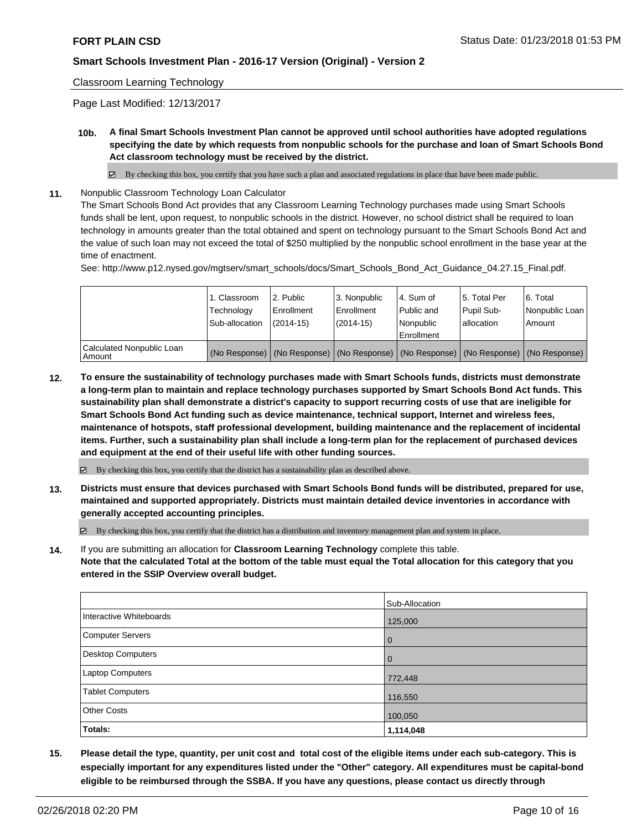## Classroom Learning Technology

Page Last Modified: 12/13/2017

**10b. A final Smart Schools Investment Plan cannot be approved until school authorities have adopted regulations specifying the date by which requests from nonpublic schools for the purchase and loan of Smart Schools Bond Act classroom technology must be received by the district.**

 $\boxtimes$  By checking this box, you certify that you have such a plan and associated regulations in place that have been made public.

**11.** Nonpublic Classroom Technology Loan Calculator

The Smart Schools Bond Act provides that any Classroom Learning Technology purchases made using Smart Schools funds shall be lent, upon request, to nonpublic schools in the district. However, no school district shall be required to loan technology in amounts greater than the total obtained and spent on technology pursuant to the Smart Schools Bond Act and the value of such loan may not exceed the total of \$250 multiplied by the nonpublic school enrollment in the base year at the time of enactment.

See: http://www.p12.nysed.gov/mgtserv/smart\_schools/docs/Smart\_Schools\_Bond\_Act\_Guidance\_04.27.15\_Final.pdf.

|                                       | 1. Classroom<br>Technology<br>Sub-allocation | 2. Public<br>Enrollment<br>$(2014 - 15)$ | 3. Nonpublic<br>Enrollment<br>$(2014-15)$ | l 4. Sum of<br>Public and<br>Nonpublic<br>Enrollment                                          | 15. Total Per<br>Pupil Sub-<br>lallocation | l 6. Total<br>Nonpublic Loan<br>Amount |
|---------------------------------------|----------------------------------------------|------------------------------------------|-------------------------------------------|-----------------------------------------------------------------------------------------------|--------------------------------------------|----------------------------------------|
| Calculated Nonpublic Loan<br>l Amount |                                              |                                          |                                           | (No Response)   (No Response)   (No Response)   (No Response)   (No Response)   (No Response) |                                            |                                        |

**12. To ensure the sustainability of technology purchases made with Smart Schools funds, districts must demonstrate a long-term plan to maintain and replace technology purchases supported by Smart Schools Bond Act funds. This sustainability plan shall demonstrate a district's capacity to support recurring costs of use that are ineligible for Smart Schools Bond Act funding such as device maintenance, technical support, Internet and wireless fees, maintenance of hotspots, staff professional development, building maintenance and the replacement of incidental items. Further, such a sustainability plan shall include a long-term plan for the replacement of purchased devices and equipment at the end of their useful life with other funding sources.**

 $\boxtimes$  By checking this box, you certify that the district has a sustainability plan as described above.

**13. Districts must ensure that devices purchased with Smart Schools Bond funds will be distributed, prepared for use, maintained and supported appropriately. Districts must maintain detailed device inventories in accordance with generally accepted accounting principles.**

By checking this box, you certify that the district has a distribution and inventory management plan and system in place.

**14.** If you are submitting an allocation for **Classroom Learning Technology** complete this table. **Note that the calculated Total at the bottom of the table must equal the Total allocation for this category that you entered in the SSIP Overview overall budget.**

|                         | Sub-Allocation |
|-------------------------|----------------|
| Interactive Whiteboards | 125,000        |
| Computer Servers        | $\overline{0}$ |
| Desktop Computers       | $\overline{0}$ |
| Laptop Computers        | 772,448        |
| <b>Tablet Computers</b> | 116,550        |
| <b>Other Costs</b>      | 100,050        |
| Totals:                 | 1,114,048      |

**15. Please detail the type, quantity, per unit cost and total cost of the eligible items under each sub-category. This is especially important for any expenditures listed under the "Other" category. All expenditures must be capital-bond eligible to be reimbursed through the SSBA. If you have any questions, please contact us directly through**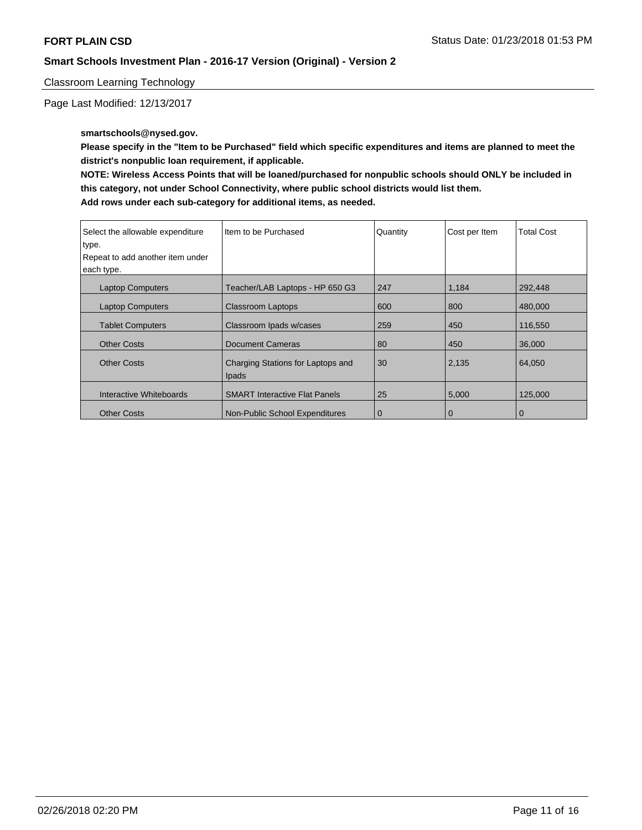Classroom Learning Technology

Page Last Modified: 12/13/2017

## **smartschools@nysed.gov.**

**Please specify in the "Item to be Purchased" field which specific expenditures and items are planned to meet the district's nonpublic loan requirement, if applicable.**

**NOTE: Wireless Access Points that will be loaned/purchased for nonpublic schools should ONLY be included in this category, not under School Connectivity, where public school districts would list them. Add rows under each sub-category for additional items, as needed.**

| Select the allowable expenditure<br>type. | Item to be Purchased                              | Quantity    | Cost per Item | <b>Total Cost</b> |
|-------------------------------------------|---------------------------------------------------|-------------|---------------|-------------------|
| Repeat to add another item under          |                                                   |             |               |                   |
| each type.                                |                                                   |             |               |                   |
| <b>Laptop Computers</b>                   | Teacher/LAB Laptops - HP 650 G3                   | 247         | 1,184         | 292,448           |
| <b>Laptop Computers</b>                   | <b>Classroom Laptops</b>                          | 600         | 800           | 480,000           |
| <b>Tablet Computers</b>                   | Classroom Ipads w/cases                           | 259         | 450           | 116,550           |
| <b>Other Costs</b>                        | <b>Document Cameras</b>                           | 80          | 450           | 36,000            |
| <b>Other Costs</b>                        | Charging Stations for Laptops and<br><b>Ipads</b> | 30          | 2,135         | 64,050            |
| Interactive Whiteboards                   | <b>SMART Interactive Flat Panels</b>              | 25          | 5,000         | 125,000           |
| <b>Other Costs</b>                        | Non-Public School Expenditures                    | $\mathbf 0$ | $\mathbf 0$   | O                 |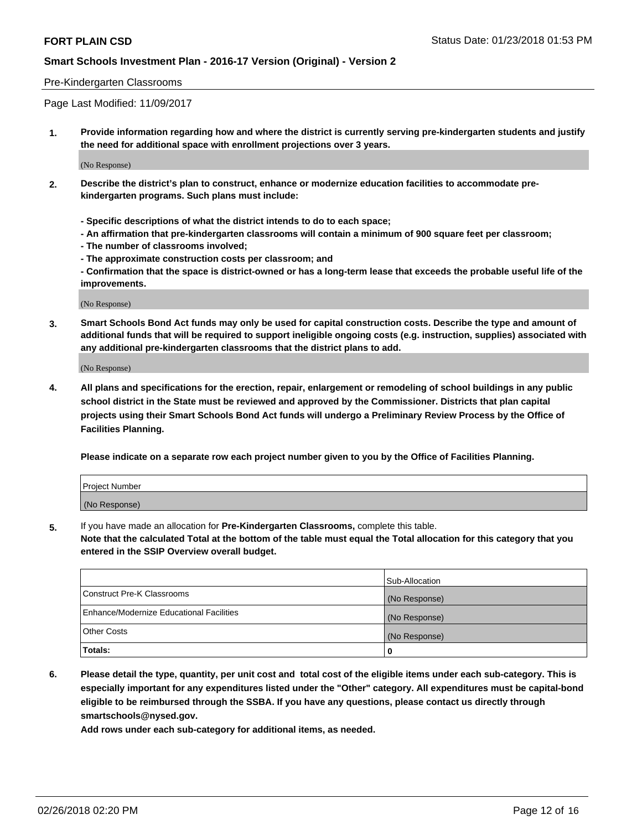#### Pre-Kindergarten Classrooms

Page Last Modified: 11/09/2017

**1. Provide information regarding how and where the district is currently serving pre-kindergarten students and justify the need for additional space with enrollment projections over 3 years.**

(No Response)

- **2. Describe the district's plan to construct, enhance or modernize education facilities to accommodate prekindergarten programs. Such plans must include:**
	- **Specific descriptions of what the district intends to do to each space;**
	- **An affirmation that pre-kindergarten classrooms will contain a minimum of 900 square feet per classroom;**
	- **The number of classrooms involved;**
	- **The approximate construction costs per classroom; and**
	- **Confirmation that the space is district-owned or has a long-term lease that exceeds the probable useful life of the improvements.**

(No Response)

**3. Smart Schools Bond Act funds may only be used for capital construction costs. Describe the type and amount of additional funds that will be required to support ineligible ongoing costs (e.g. instruction, supplies) associated with any additional pre-kindergarten classrooms that the district plans to add.**

(No Response)

**4. All plans and specifications for the erection, repair, enlargement or remodeling of school buildings in any public school district in the State must be reviewed and approved by the Commissioner. Districts that plan capital projects using their Smart Schools Bond Act funds will undergo a Preliminary Review Process by the Office of Facilities Planning.**

**Please indicate on a separate row each project number given to you by the Office of Facilities Planning.**

| Project Number |  |
|----------------|--|
| (No Response)  |  |

**5.** If you have made an allocation for **Pre-Kindergarten Classrooms,** complete this table.

**Note that the calculated Total at the bottom of the table must equal the Total allocation for this category that you entered in the SSIP Overview overall budget.**

|                                          | Sub-Allocation |
|------------------------------------------|----------------|
| Construct Pre-K Classrooms               | (No Response)  |
| Enhance/Modernize Educational Facilities | (No Response)  |
| <b>Other Costs</b>                       | (No Response)  |
| Totals:                                  | 0              |

**6. Please detail the type, quantity, per unit cost and total cost of the eligible items under each sub-category. This is especially important for any expenditures listed under the "Other" category. All expenditures must be capital-bond eligible to be reimbursed through the SSBA. If you have any questions, please contact us directly through smartschools@nysed.gov.**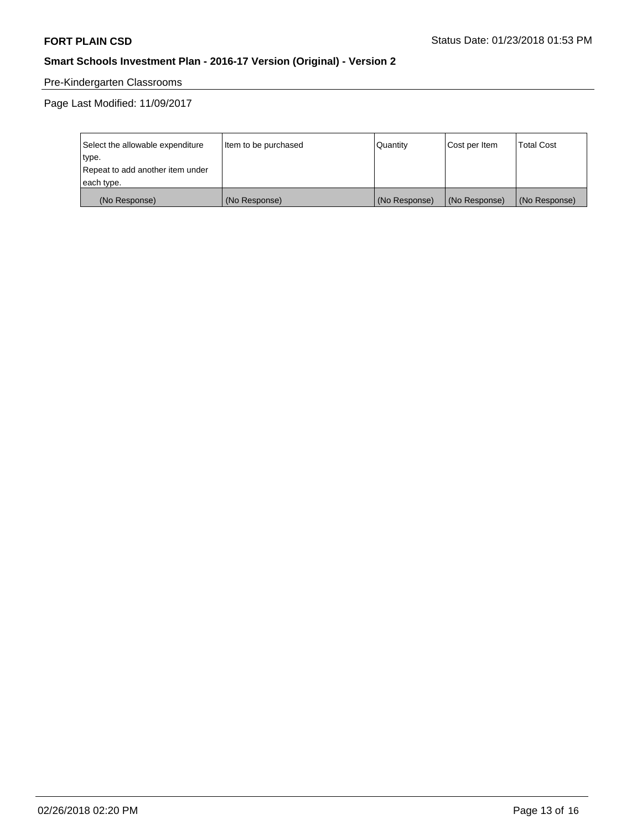# Pre-Kindergarten Classrooms

Page Last Modified: 11/09/2017

| Select the allowable expenditure | Item to be purchased | Quantity      | Cost per Item | <b>Total Cost</b> |
|----------------------------------|----------------------|---------------|---------------|-------------------|
| type.                            |                      |               |               |                   |
| Repeat to add another item under |                      |               |               |                   |
| each type.                       |                      |               |               |                   |
| (No Response)                    | (No Response)        | (No Response) | (No Response) | (No Response)     |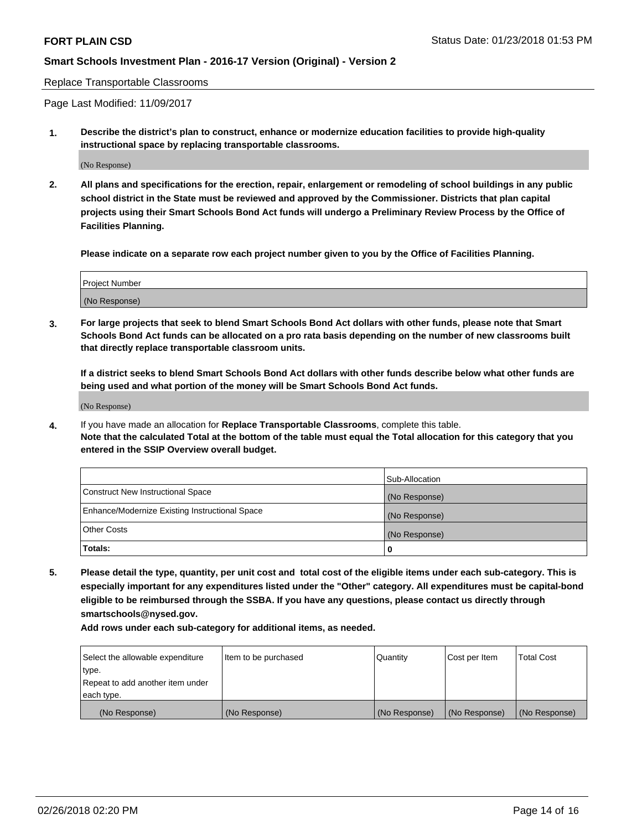Replace Transportable Classrooms

Page Last Modified: 11/09/2017

**1. Describe the district's plan to construct, enhance or modernize education facilities to provide high-quality instructional space by replacing transportable classrooms.**

(No Response)

**2. All plans and specifications for the erection, repair, enlargement or remodeling of school buildings in any public school district in the State must be reviewed and approved by the Commissioner. Districts that plan capital projects using their Smart Schools Bond Act funds will undergo a Preliminary Review Process by the Office of Facilities Planning.**

**Please indicate on a separate row each project number given to you by the Office of Facilities Planning.**

| <b>Project Number</b> |  |
|-----------------------|--|
| (No Response)         |  |
|                       |  |

**3. For large projects that seek to blend Smart Schools Bond Act dollars with other funds, please note that Smart Schools Bond Act funds can be allocated on a pro rata basis depending on the number of new classrooms built that directly replace transportable classroom units.**

**If a district seeks to blend Smart Schools Bond Act dollars with other funds describe below what other funds are being used and what portion of the money will be Smart Schools Bond Act funds.**

(No Response)

**4.** If you have made an allocation for **Replace Transportable Classrooms**, complete this table. **Note that the calculated Total at the bottom of the table must equal the Total allocation for this category that you entered in the SSIP Overview overall budget.**

|                                                | Sub-Allocation |
|------------------------------------------------|----------------|
| Construct New Instructional Space              | (No Response)  |
| Enhance/Modernize Existing Instructional Space | (No Response)  |
| Other Costs                                    | (No Response)  |
| Totals:                                        | 0              |

**5. Please detail the type, quantity, per unit cost and total cost of the eligible items under each sub-category. This is especially important for any expenditures listed under the "Other" category. All expenditures must be capital-bond eligible to be reimbursed through the SSBA. If you have any questions, please contact us directly through smartschools@nysed.gov.**

| Select the allowable expenditure | Item to be purchased | Quantity      | Cost per Item | <b>Total Cost</b> |
|----------------------------------|----------------------|---------------|---------------|-------------------|
| type.                            |                      |               |               |                   |
| Repeat to add another item under |                      |               |               |                   |
| each type.                       |                      |               |               |                   |
| (No Response)                    | (No Response)        | (No Response) | (No Response) | (No Response)     |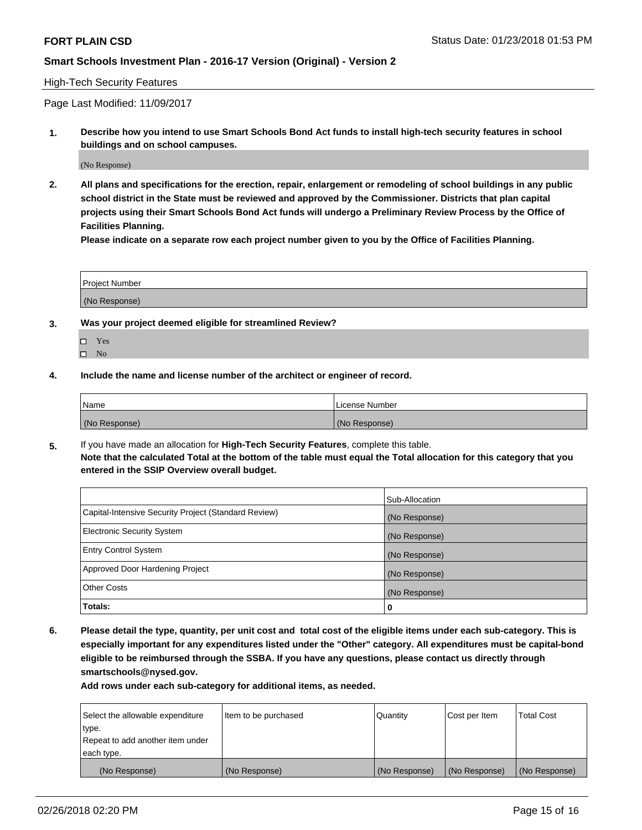#### High-Tech Security Features

Page Last Modified: 11/09/2017

**1. Describe how you intend to use Smart Schools Bond Act funds to install high-tech security features in school buildings and on school campuses.**

(No Response)

**2. All plans and specifications for the erection, repair, enlargement or remodeling of school buildings in any public school district in the State must be reviewed and approved by the Commissioner. Districts that plan capital projects using their Smart Schools Bond Act funds will undergo a Preliminary Review Process by the Office of Facilities Planning.** 

**Please indicate on a separate row each project number given to you by the Office of Facilities Planning.**

| <b>Project Number</b> |  |  |
|-----------------------|--|--|
|                       |  |  |
| (No Response)         |  |  |

- **3. Was your project deemed eligible for streamlined Review?**
	- Yes  $\square$  No
- **4. Include the name and license number of the architect or engineer of record.**

| Name          | License Number |
|---------------|----------------|
| (No Response) | (No Response)  |

**5.** If you have made an allocation for **High-Tech Security Features**, complete this table. **Note that the calculated Total at the bottom of the table must equal the Total allocation for this category that you entered in the SSIP Overview overall budget.**

|                                                      | Sub-Allocation |
|------------------------------------------------------|----------------|
| Capital-Intensive Security Project (Standard Review) | (No Response)  |
| <b>Electronic Security System</b>                    | (No Response)  |
| <b>Entry Control System</b>                          | (No Response)  |
| Approved Door Hardening Project                      | (No Response)  |
| <b>Other Costs</b>                                   | (No Response)  |
| Totals:                                              | 0              |

**6. Please detail the type, quantity, per unit cost and total cost of the eligible items under each sub-category. This is especially important for any expenditures listed under the "Other" category. All expenditures must be capital-bond eligible to be reimbursed through the SSBA. If you have any questions, please contact us directly through smartschools@nysed.gov.**

| Select the allowable expenditure | Item to be purchased | Quantity      | Cost per Item | <b>Total Cost</b> |
|----------------------------------|----------------------|---------------|---------------|-------------------|
| type.                            |                      |               |               |                   |
| Repeat to add another item under |                      |               |               |                   |
| each type.                       |                      |               |               |                   |
| (No Response)                    | (No Response)        | (No Response) | (No Response) | (No Response)     |